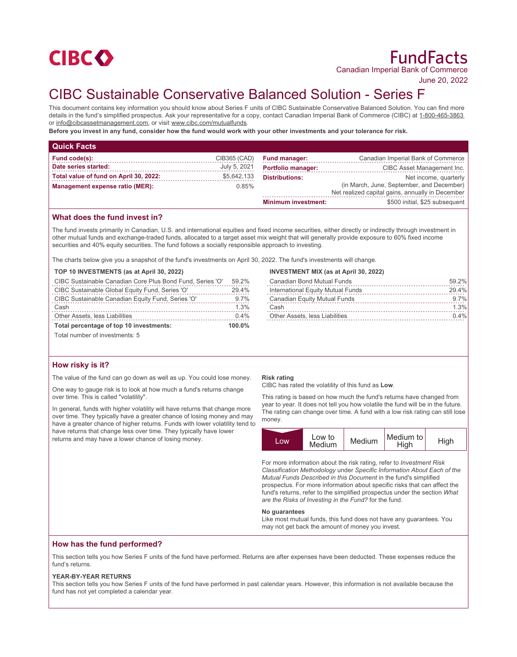

# FundFacts Canadian Imperial Bank of Commerce

June 20, 2022

# CIBC Sustainable Conservative Balanced Solution - Series F

This document contains key information you should know about Series F units of CIBC Sustainable Conservative Balanced Solution. You can find more details in the fund's simplified prospectus. Ask your representative for a copy, contact Canadian Imperial Bank of Commerce (CIBC) at 1-800-465-3863 or info@cibcassetmanagement.com, or visit www.cibc.com/mutualfunds.

**Before you invest in any fund, consider how the fund would work with your other investments and your tolerance for risk.**

| <b>Quick Facts</b>                       |              |                            |                                                                                               |
|------------------------------------------|--------------|----------------------------|-----------------------------------------------------------------------------------------------|
| Fund code(s):                            | CIB365 (CAD) | <b>Fund manager:</b>       | Canadian Imperial Bank of Commerce                                                            |
| Date series started:                     | July 5, 2021 | <b>Portfolio manager:</b>  | CIBC Asset Management Inc.                                                                    |
| Total value of fund on April 30, 2022:   | \$5,642,133  | <b>Distributions:</b>      | Net income, quarterly                                                                         |
| 0.85%<br>Management expense ratio (MER): |              |                            | (in March, June, September, and December)<br>Net realized capital gains, annually in December |
|                                          |              | <b>Minimum investment:</b> | \$500 initial, \$25 subsequent                                                                |

## **What does the fund invest in?**

The fund invests primarily in Canadian, U.S. and international equities and fixed income securities, either directly or indirectly through investment in other mutual funds and exchange-traded funds, allocated to a target asset mix weight that will generally provide exposure to 60% fixed income securities and 40% equity securities. The fund follows a socially responsible approach to investing.

The charts below give you a snapshot of the fund's investments on April 30, 2022. The fund's investments will change.

#### **TOP 10 INVESTMENTS (as at April 30, 2022)**

| CIBC Sustainable Canadian Core Plus Bond Fund, Series 'O' | 59.2%     |
|-----------------------------------------------------------|-----------|
| CIBC Sustainable Global Equity Fund, Series 'O'           | 29.4%     |
| CIBC Sustainable Canadian Equity Fund, Series 'O'         | 9.7%      |
| Cash                                                      | 1.3%      |
| Other Assets, less Liabilities                            | $0.4\%$   |
| Total percentage of top 10 investments:                   | $100.0\%$ |

Total number of investments: 5

## **How risky is it?**

The value of the fund can go down as well as up. You could lose money.

One way to gauge risk is to look at how much a fund's returns change over time. This is called "volatility".

In general, funds with higher volatility will have returns that change more over time. They typically have a greater chance of losing money and may have a greater chance of higher returns. Funds with lower volatility tend to have returns that change less over time. They typically have lower returns and may have a lower chance of losing money.

#### **INVESTMENT MIX (as at April 30, 2022)**

| Canadian Bond Mutual Funds            | 59.2%   |
|---------------------------------------|---------|
| International Equity Mutual Funds     | 29.4%   |
| Canadian Equity Mutual Funds          | $9.7\%$ |
| Cash                                  | 1.3%    |
| <b>Other Assets, less Liabilities</b> | $0.4\%$ |

#### **Risk rating**

CIBC has rated the volatility of this fund as **Low**.

This rating is based on how much the fund's returns have changed from year to year. It does not tell you how volatile the fund will be in the future. The rating can change over time. A fund with a low risk rating can still lose money.

| Low | Low to<br>Medium | Medium | Medium to<br>High | High |
|-----|------------------|--------|-------------------|------|

For more information about the risk rating, refer to *Investment Risk Classification Methodology* under *Specific Information About Each of the Mutual Funds Described in this Document* in the fund's simplified prospectus. For more information about specific risks that can affect the fund's returns, refer to the simplified prospectus under the section *What are the Risks of Investing in the Fund?* for the fund.

#### **No guarantees**

Like most mutual funds, this fund does not have any guarantees. You may not get back the amount of money you invest.

#### **How has the fund performed?**

This section tells you how Series F units of the fund have performed. Returns are after expenses have been deducted. These expenses reduce the fund's returns.

#### **YEAR-BY-YEAR RETURNS**

This section tells you how Series F units of the fund have performed in past calendar years. However, this information is not available because the fund has not yet completed a calendar year.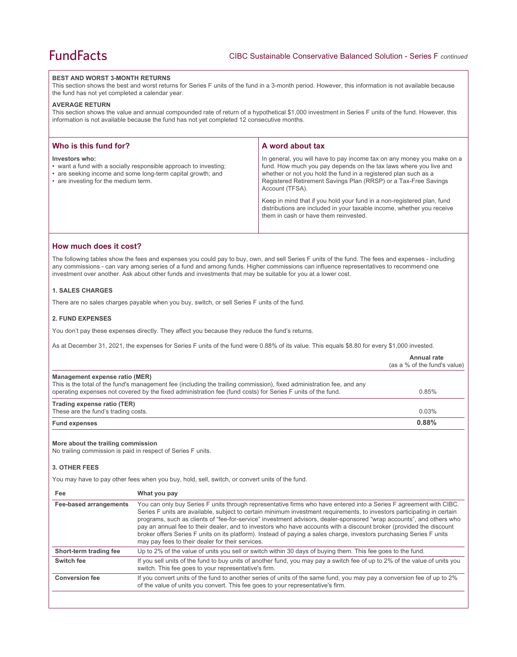#### **BEST AND WORST 3-MONTH RETURNS**

This section shows the best and worst returns for Series F units of the fund in a 3-month period. However, this information is not available because the fund has not yet completed a calendar year.

#### **AVERAGE RETURN**

This section shows the value and annual compounded rate of return of a hypothetical \$1,000 investment in Series F units of the fund. However, this information is not available because the fund has not yet completed 12 consecutive months.

| Who is this fund for?                                                                                                                                                                     | A word about tax                                                                                                                                                                                                                                                                                                                                                                                                                                                                                  |
|-------------------------------------------------------------------------------------------------------------------------------------------------------------------------------------------|---------------------------------------------------------------------------------------------------------------------------------------------------------------------------------------------------------------------------------------------------------------------------------------------------------------------------------------------------------------------------------------------------------------------------------------------------------------------------------------------------|
| Investors who:<br>• want a fund with a socially responsible approach to investing;<br>• are seeking income and some long-term capital growth; and<br>• are investing for the medium term. | In general, you will have to pay income tax on any money you make on a<br>fund. How much you pay depends on the tax laws where you live and<br>whether or not you hold the fund in a registered plan such as a<br>Registered Retirement Savings Plan (RRSP) or a Tax-Free Savings<br>Account (TFSA).<br>Keep in mind that if you hold your fund in a non-registered plan, fund<br>distributions are included in your taxable income, whether you receive<br>them in cash or have them reinvested. |

# **How much does it cost?**

The following tables show the fees and expenses you could pay to buy, own, and sell Series F units of the fund. The fees and expenses - including any commissions - can vary among series of a fund and among funds. Higher commissions can influence representatives to recommend one investment over another. Ask about other funds and investments that may be suitable for you at a lower cost.

# **1. SALES CHARGES**

There are no sales charges payable when you buy, switch, or sell Series F units of the fund.

#### **2. FUND EXPENSES**

You don't pay these expenses directly. They affect you because they reduce the fund's returns.

As at December 31, 2021, the expenses for Series F units of the fund were 0.88% of its value. This equals \$8.80 for every \$1,000 invested.

|                                                                                                                                   |                                                                                                                                                                                                                                                                                                                                                                                                                                                                                                                                                                                                                                                                          | Annual rate<br>(as a % of the fund's value) |
|-----------------------------------------------------------------------------------------------------------------------------------|--------------------------------------------------------------------------------------------------------------------------------------------------------------------------------------------------------------------------------------------------------------------------------------------------------------------------------------------------------------------------------------------------------------------------------------------------------------------------------------------------------------------------------------------------------------------------------------------------------------------------------------------------------------------------|---------------------------------------------|
| Management expense ratio (MER)                                                                                                    | This is the total of the fund's management fee (including the trailing commission), fixed administration fee, and any<br>operating expenses not covered by the fixed administration fee (fund costs) for Series F units of the fund.                                                                                                                                                                                                                                                                                                                                                                                                                                     | 0.85%                                       |
| Trading expense ratio (TER)<br>These are the fund's trading costs.                                                                |                                                                                                                                                                                                                                                                                                                                                                                                                                                                                                                                                                                                                                                                          | 0.03%                                       |
| <b>Fund expenses</b>                                                                                                              |                                                                                                                                                                                                                                                                                                                                                                                                                                                                                                                                                                                                                                                                          | 0.88%                                       |
| More about the trailing commission<br>No trailing commission is paid in respect of Series F units.<br><b>3. OTHER FEES</b><br>Fee | You may have to pay other fees when you buy, hold, sell, switch, or convert units of the fund.<br>What you pay                                                                                                                                                                                                                                                                                                                                                                                                                                                                                                                                                           |                                             |
| <b>Fee-based arrangements</b>                                                                                                     | You can only buy Series F units through representative firms who have entered into a Series F agreement with CIBC.<br>Series F units are available, subject to certain minimum investment requirements, to investors participating in certain<br>programs, such as clients of "fee-for-service" investment advisors, dealer-sponsored "wrap accounts", and others who<br>pay an annual fee to their dealer, and to investors who have accounts with a discount broker (provided the discount<br>broker offers Series F units on its platform). Instead of paying a sales charge, investors purchasing Series F units<br>may pay fees to their dealer for their services. |                                             |
| Short-term trading fee                                                                                                            | Up to 2% of the value of units you sell or switch within 30 days of buying them. This fee goes to the fund.                                                                                                                                                                                                                                                                                                                                                                                                                                                                                                                                                              |                                             |
| Switch fee                                                                                                                        | If you sell units of the fund to buy units of another fund, you may pay a switch fee of up to 2% of the value of units you<br>switch. This fee goes to your representative's firm.                                                                                                                                                                                                                                                                                                                                                                                                                                                                                       |                                             |

Conversion fee **If** you convert units of the fund to another series of units of the same fund, you may pay a conversion fee of up to 2%

of the value of units you convert. This fee goes to your representative's firm.